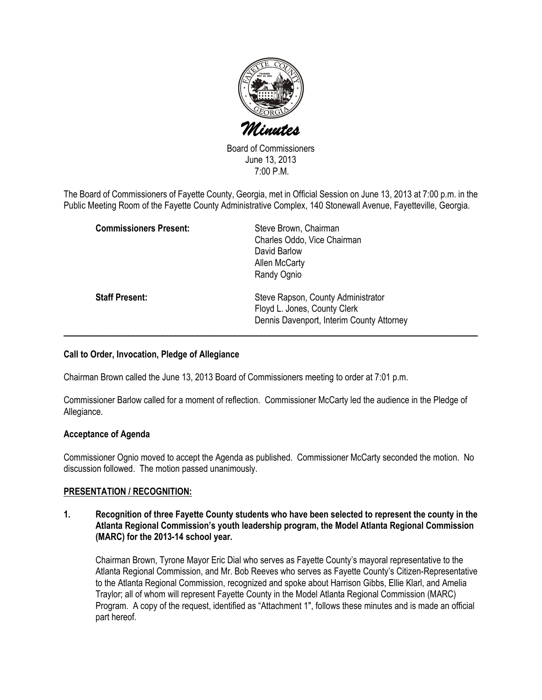

Board of Commissioners June 13, 2013 7:00 P.M.

The Board of Commissioners of Fayette County, Georgia, met in Official Session on June 13, 2013 at 7:00 p.m. in the Public Meeting Room of the Fayette County Administrative Complex, 140 Stonewall Avenue, Fayetteville, Georgia.

| <b>Commissioners Present:</b> | Steve Brown, Chairman<br>Charles Oddo, Vice Chairman<br>David Barlow<br>Allen McCarty<br>Randy Ognio            |
|-------------------------------|-----------------------------------------------------------------------------------------------------------------|
| <b>Staff Present:</b>         | Steve Rapson, County Administrator<br>Floyd L. Jones, County Clerk<br>Dennis Davenport, Interim County Attorney |

### Call to Order, Invocation, Pledge of Allegiance

Chairman Brown called the June 13, 2013 Board of Commissioners meeting to order at 7:01 p.m.

Commissioner Barlow called for a moment of reflection. Commissioner McCarty led the audience in the Pledge of Allegiance.

#### Acceptance of Agenda

Commissioner Ognio moved to accept the Agenda as published. Commissioner McCarty seconded the motion. No discussion followed. The motion passed unanimously.

#### PRESENTATION / RECOGNITION:

1. Recognition of three Fayette County students who have been selected to represent the county in the Atlanta Regional Commission's youth leadership program, the Model Atlanta Regional Commission (MARC) for the 2013-14 school year.

Chairman Brown, Tyrone Mayor Eric Dial who serves as Fayette County's mayoral representative to the Atlanta Regional Commission, and Mr. Bob Reeves who serves as Fayette County's Citizen-Representative to the Atlanta Regional Commission, recognized and spoke about Harrison Gibbs, Ellie Klarl, and Amelia Traylor; all of whom will represent Fayette County in the Model Atlanta Regional Commission (MARC) Program. A copy of the request, identified as "Attachment 1", follows these minutes and is made an official part hereof.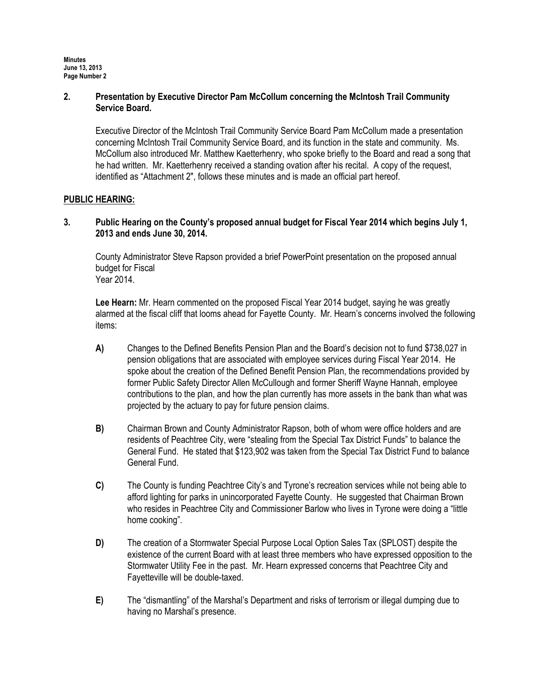#### 2. Presentation by Executive Director Pam McCollum concerning the McIntosh Trail Community Service Board.

Executive Director of the McIntosh Trail Community Service Board Pam McCollum made a presentation concerning McIntosh Trail Community Service Board, and its function in the state and community. Ms. McCollum also introduced Mr. Matthew Kaetterhenry, who spoke briefly to the Board and read a song that he had written. Mr. Kaetterhenry received a standing ovation after his recital. A copy of the request, identified as "Attachment 2", follows these minutes and is made an official part hereof.

#### PUBLIC HEARING:

### 3. Public Hearing on the County's proposed annual budget for Fiscal Year 2014 which begins July 1, 2013 and ends June 30, 2014.

County Administrator Steve Rapson provided a brief PowerPoint presentation on the proposed annual budget for Fiscal Year 2014.

Lee Hearn: Mr. Hearn commented on the proposed Fiscal Year 2014 budget, saying he was greatly alarmed at the fiscal cliff that looms ahead for Fayette County. Mr. Hearn's concerns involved the following items:

- A) Changes to the Defined Benefits Pension Plan and the Board's decision not to fund \$738,027 in pension obligations that are associated with employee services during Fiscal Year 2014. He spoke about the creation of the Defined Benefit Pension Plan, the recommendations provided by former Public Safety Director Allen McCullough and former Sheriff Wayne Hannah, employee contributions to the plan, and how the plan currently has more assets in the bank than what was projected by the actuary to pay for future pension claims.
- B) Chairman Brown and County Administrator Rapson, both of whom were office holders and are residents of Peachtree City, were "stealing from the Special Tax District Funds" to balance the General Fund. He stated that \$123,902 was taken from the Special Tax District Fund to balance General Fund.
- C) The County is funding Peachtree City's and Tyrone's recreation services while not being able to afford lighting for parks in unincorporated Fayette County. He suggested that Chairman Brown who resides in Peachtree City and Commissioner Barlow who lives in Tyrone were doing a "little home cooking".
- D) The creation of a Stormwater Special Purpose Local Option Sales Tax (SPLOST) despite the existence of the current Board with at least three members who have expressed opposition to the Stormwater Utility Fee in the past. Mr. Hearn expressed concerns that Peachtree City and Fayetteville will be double-taxed.
- E) The "dismantling" of the Marshal's Department and risks of terrorism or illegal dumping due to having no Marshal's presence.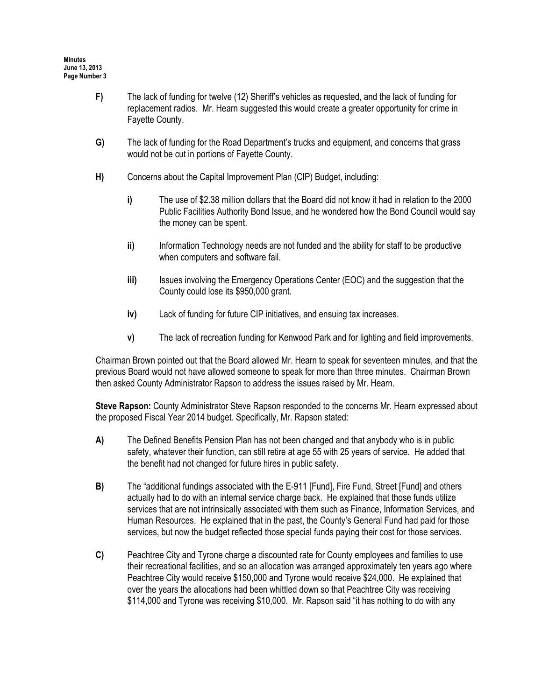- F) The lack of funding for twelve (12) Sheriff's vehicles as requested, and the lack of funding for replacement radios. Mr. Hearn suggested this would create a greater opportunity for crime in Fayette County.
- G) The lack of funding for the Road Department's trucks and equipment, and concerns that grass would not be cut in portions of Fayette County.
- H) Concerns about the Capital Improvement Plan (CIP) Budget, including:
	- i) The use of \$2.38 million dollars that the Board did not know it had in relation to the 2000 Public Facilities Authority Bond Issue, and he wondered how the Bond Council would say the money can be spent.
	- ii) Information Technology needs are not funded and the ability for staff to be productive when computers and software fail.
	- iii) Issues involving the Emergency Operations Center (EOC) and the suggestion that the County could lose its \$950,000 grant.
	- iv) Lack of funding for future CIP initiatives, and ensuing tax increases.
	- v) The lack of recreation funding for Kenwood Park and for lighting and field improvements.

Chairman Brown pointed out that the Board allowed Mr. Hearn to speak for seventeen minutes, and that the previous Board would not have allowed someone to speak for more than three minutes. Chairman Brown then asked County Administrator Rapson to address the issues raised by Mr. Hearn.

Steve Rapson: County Administrator Steve Rapson responded to the concerns Mr. Hearn expressed about the proposed Fiscal Year 2014 budget. Specifically, Mr. Rapson stated:

- A) The Defined Benefits Pension Plan has not been changed and that anybody who is in public safety, whatever their function, can still retire at age 55 with 25 years of service. He added that the benefit had not changed for future hires in public safety.
- B) The "additional fundings associated with the E-911 [Fund], Fire Fund, Street [Fund] and others actually had to do with an internal service charge back. He explained that those funds utilize services that are not intrinsically associated with them such as Finance, Information Services, and Human Resources. He explained that in the past, the County's General Fund had paid for those services, but now the budget reflected those special funds paying their cost for those services.
- C) Peachtree City and Tyrone charge a discounted rate for County employees and families to use their recreational facilities, and so an allocation was arranged approximately ten years ago where Peachtree City would receive \$150,000 and Tyrone would receive \$24,000. He explained that over the years the allocations had been whittled down so that Peachtree City was receiving \$114,000 and Tyrone was receiving \$10,000. Mr. Rapson said "it has nothing to do with any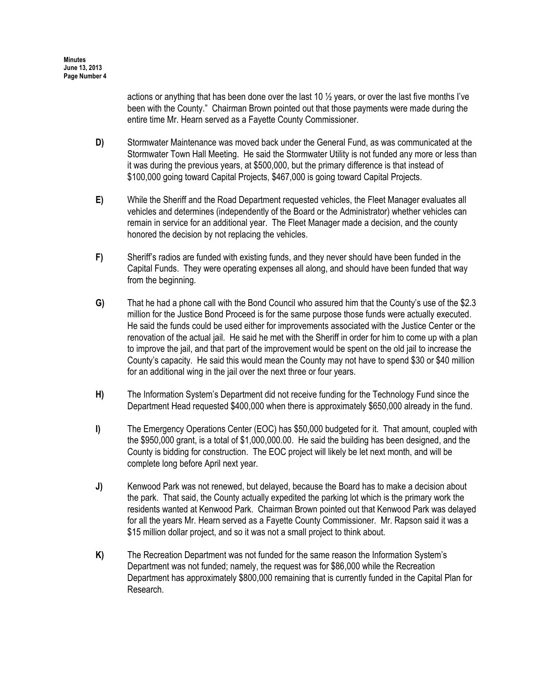actions or anything that has been done over the last 10 ½ years, or over the last five months I've been with the County." Chairman Brown pointed out that those payments were made during the entire time Mr. Hearn served as a Fayette County Commissioner.

- D) Stormwater Maintenance was moved back under the General Fund, as was communicated at the Stormwater Town Hall Meeting. He said the Stormwater Utility is not funded any more or less than it was during the previous years, at \$500,000, but the primary difference is that instead of \$100,000 going toward Capital Projects, \$467,000 is going toward Capital Projects.
- E) While the Sheriff and the Road Department requested vehicles, the Fleet Manager evaluates all vehicles and determines (independently of the Board or the Administrator) whether vehicles can remain in service for an additional year. The Fleet Manager made a decision, and the county honored the decision by not replacing the vehicles.
- F) Sheriff's radios are funded with existing funds, and they never should have been funded in the Capital Funds. They were operating expenses all along, and should have been funded that way from the beginning.
- G) That he had a phone call with the Bond Council who assured him that the County's use of the \$2.3 million for the Justice Bond Proceed is for the same purpose those funds were actually executed. He said the funds could be used either for improvements associated with the Justice Center or the renovation of the actual jail. He said he met with the Sheriff in order for him to come up with a plan to improve the jail, and that part of the improvement would be spent on the old jail to increase the County's capacity. He said this would mean the County may not have to spend \$30 or \$40 million for an additional wing in the jail over the next three or four years.
- H) The Information System's Department did not receive funding for the Technology Fund since the Department Head requested \$400,000 when there is approximately \$650,000 already in the fund.
- I) The Emergency Operations Center (EOC) has \$50,000 budgeted for it. That amount, coupled with the \$950,000 grant, is a total of \$1,000,000.00. He said the building has been designed, and the County is bidding for construction. The EOC project will likely be let next month, and will be complete long before April next year.
- J) Kenwood Park was not renewed, but delayed, because the Board has to make a decision about the park. That said, the County actually expedited the parking lot which is the primary work the residents wanted at Kenwood Park. Chairman Brown pointed out that Kenwood Park was delayed for all the years Mr. Hearn served as a Fayette County Commissioner. Mr. Rapson said it was a \$15 million dollar project, and so it was not a small project to think about.
- K) The Recreation Department was not funded for the same reason the Information System's Department was not funded; namely, the request was for \$86,000 while the Recreation Department has approximately \$800,000 remaining that is currently funded in the Capital Plan for Research.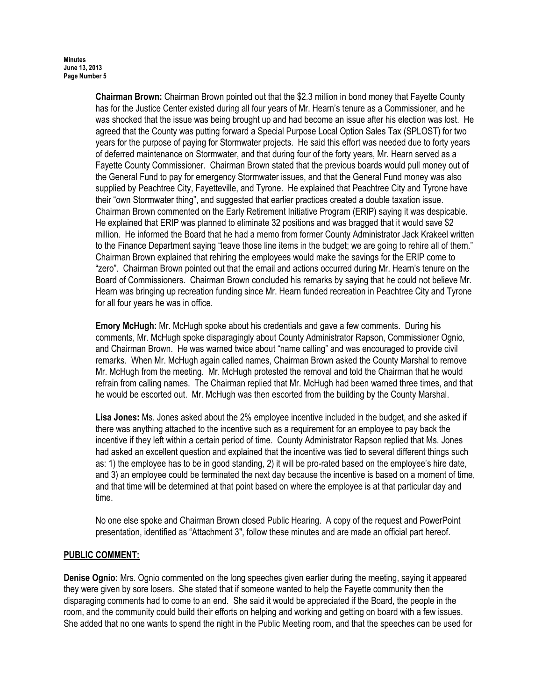Chairman Brown: Chairman Brown pointed out that the \$2.3 million in bond money that Fayette County has for the Justice Center existed during all four years of Mr. Hearn's tenure as a Commissioner, and he was shocked that the issue was being brought up and had become an issue after his election was lost. He agreed that the County was putting forward a Special Purpose Local Option Sales Tax (SPLOST) for two years for the purpose of paying for Stormwater projects. He said this effort was needed due to forty years of deferred maintenance on Stormwater, and that during four of the forty years, Mr. Hearn served as a Fayette County Commissioner. Chairman Brown stated that the previous boards would pull money out of the General Fund to pay for emergency Stormwater issues, and that the General Fund money was also supplied by Peachtree City, Fayetteville, and Tyrone. He explained that Peachtree City and Tyrone have their "own Stormwater thing", and suggested that earlier practices created a double taxation issue. Chairman Brown commented on the Early Retirement Initiative Program (ERIP) saying it was despicable. He explained that ERIP was planned to eliminate 32 positions and was bragged that it would save \$2 million. He informed the Board that he had a memo from former County Administrator Jack Krakeel written to the Finance Department saying "leave those line items in the budget; we are going to rehire all of them." Chairman Brown explained that rehiring the employees would make the savings for the ERIP come to "zero". Chairman Brown pointed out that the email and actions occurred during Mr. Hearn's tenure on the Board of Commissioners. Chairman Brown concluded his remarks by saying that he could not believe Mr. Hearn was bringing up recreation funding since Mr. Hearn funded recreation in Peachtree City and Tyrone for all four years he was in office.

Emory McHugh: Mr. McHugh spoke about his credentials and gave a few comments. During his comments, Mr. McHugh spoke disparagingly about County Administrator Rapson, Commissioner Ognio, and Chairman Brown. He was warned twice about "name calling" and was encouraged to provide civil remarks. When Mr. McHugh again called names, Chairman Brown asked the County Marshal to remove Mr. McHugh from the meeting. Mr. McHugh protested the removal and told the Chairman that he would refrain from calling names. The Chairman replied that Mr. McHugh had been warned three times, and that he would be escorted out. Mr. McHugh was then escorted from the building by the County Marshal.

Lisa Jones: Ms. Jones asked about the 2% employee incentive included in the budget, and she asked if there was anything attached to the incentive such as a requirement for an employee to pay back the incentive if they left within a certain period of time. County Administrator Rapson replied that Ms. Jones had asked an excellent question and explained that the incentive was tied to several different things such as: 1) the employee has to be in good standing, 2) it will be pro-rated based on the employee's hire date, and 3) an employee could be terminated the next day because the incentive is based on a moment of time, and that time will be determined at that point based on where the employee is at that particular day and time.

No one else spoke and Chairman Brown closed Public Hearing. A copy of the request and PowerPoint presentation, identified as "Attachment 3", follow these minutes and are made an official part hereof.

# PUBLIC COMMENT:

Denise Ognio: Mrs. Ognio commented on the long speeches given earlier during the meeting, saying it appeared they were given by sore losers. She stated that if someone wanted to help the Fayette community then the disparaging comments had to come to an end. She said it would be appreciated if the Board, the people in the room, and the community could build their efforts on helping and working and getting on board with a few issues. She added that no one wants to spend the night in the Public Meeting room, and that the speeches can be used for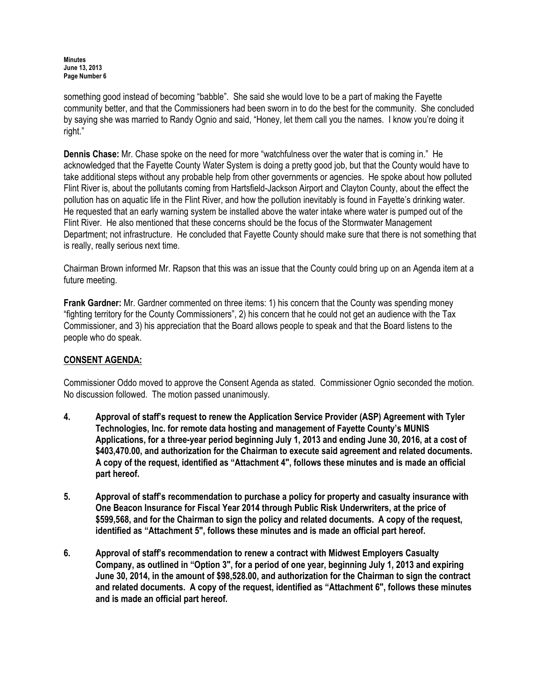something good instead of becoming "babble". She said she would love to be a part of making the Fayette community better, and that the Commissioners had been sworn in to do the best for the community. She concluded by saying she was married to Randy Ognio and said, "Honey, let them call you the names. I know you're doing it right."

Dennis Chase: Mr. Chase spoke on the need for more "watchfulness over the water that is coming in." He acknowledged that the Fayette County Water System is doing a pretty good job, but that the County would have to take additional steps without any probable help from other governments or agencies. He spoke about how polluted Flint River is, about the pollutants coming from Hartsfield-Jackson Airport and Clayton County, about the effect the pollution has on aquatic life in the Flint River, and how the pollution inevitably is found in Fayette's drinking water. He requested that an early warning system be installed above the water intake where water is pumped out of the Flint River. He also mentioned that these concerns should be the focus of the Stormwater Management Department; not infrastructure. He concluded that Fayette County should make sure that there is not something that is really, really serious next time.

Chairman Brown informed Mr. Rapson that this was an issue that the County could bring up on an Agenda item at a future meeting.

Frank Gardner: Mr. Gardner commented on three items: 1) his concern that the County was spending money "fighting territory for the County Commissioners", 2) his concern that he could not get an audience with the Tax Commissioner, and 3) his appreciation that the Board allows people to speak and that the Board listens to the people who do speak.

# CONSENT AGENDA:

Commissioner Oddo moved to approve the Consent Agenda as stated. Commissioner Ognio seconded the motion. No discussion followed. The motion passed unanimously.

- 4. Approval of staff's request to renew the Application Service Provider (ASP) Agreement with Tyler Technologies, Inc. for remote data hosting and management of Fayette County's MUNIS Applications, for a three-year period beginning July 1, 2013 and ending June 30, 2016, at a cost of \$403,470.00, and authorization for the Chairman to execute said agreement and related documents. A copy of the request, identified as "Attachment 4", follows these minutes and is made an official part hereof.
- 5. Approval of staff's recommendation to purchase a policy for property and casualty insurance with One Beacon Insurance for Fiscal Year 2014 through Public Risk Underwriters, at the price of \$599,568, and for the Chairman to sign the policy and related documents. A copy of the request, identified as "Attachment 5", follows these minutes and is made an official part hereof.
- 6. Approval of staff's recommendation to renew a contract with Midwest Employers Casualty Company, as outlined in "Option 3", for a period of one year, beginning July 1, 2013 and expiring June 30, 2014, in the amount of \$98,528.00, and authorization for the Chairman to sign the contract and related documents. A copy of the request, identified as "Attachment 6", follows these minutes and is made an official part hereof.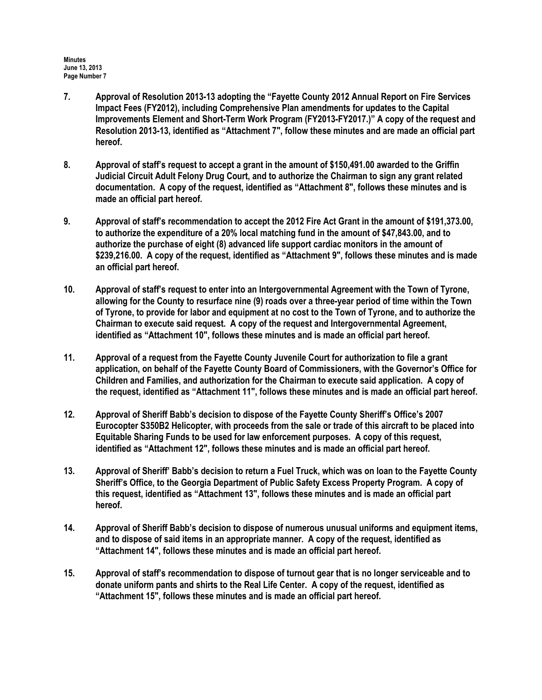- 7. Approval of Resolution 2013-13 adopting the "Fayette County 2012 Annual Report on Fire Services Impact Fees (FY2012), including Comprehensive Plan amendments for updates to the Capital Improvements Element and Short-Term Work Program (FY2013-FY2017.)" A copy of the request and Resolution 2013-13, identified as "Attachment 7", follow these minutes and are made an official part hereof.
- 8. Approval of staff's request to accept a grant in the amount of \$150,491.00 awarded to the Griffin Judicial Circuit Adult Felony Drug Court, and to authorize the Chairman to sign any grant related documentation. A copy of the request, identified as "Attachment 8", follows these minutes and is made an official part hereof.
- 9. Approval of staff's recommendation to accept the 2012 Fire Act Grant in the amount of \$191,373.00, to authorize the expenditure of a 20% local matching fund in the amount of \$47,843.00, and to authorize the purchase of eight (8) advanced life support cardiac monitors in the amount of \$239,216.00. A copy of the request, identified as "Attachment 9", follows these minutes and is made an official part hereof.
- 10. Approval of staff's request to enter into an Intergovernmental Agreement with the Town of Tyrone, allowing for the County to resurface nine (9) roads over a three-year period of time within the Town of Tyrone, to provide for labor and equipment at no cost to the Town of Tyrone, and to authorize the Chairman to execute said request. A copy of the request and Intergovernmental Agreement, identified as "Attachment 10", follows these minutes and is made an official part hereof.
- 11. Approval of a request from the Fayette County Juvenile Court for authorization to file a grant application, on behalf of the Fayette County Board of Commissioners, with the Governor's Office for Children and Families, and authorization for the Chairman to execute said application. A copy of the request, identified as "Attachment 11", follows these minutes and is made an official part hereof.
- 12. Approval of Sheriff Babb's decision to dispose of the Fayette County Sheriff's Office's 2007 Eurocopter S350B2 Helicopter, with proceeds from the sale or trade of this aircraft to be placed into Equitable Sharing Funds to be used for law enforcement purposes. A copy of this request, identified as "Attachment 12", follows these minutes and is made an official part hereof.
- 13. Approval of Sheriff' Babb's decision to return a Fuel Truck, which was on loan to the Fayette County Sheriff's Office, to the Georgia Department of Public Safety Excess Property Program. A copy of this request, identified as "Attachment 13", follows these minutes and is made an official part hereof.
- 14. Approval of Sheriff Babb's decision to dispose of numerous unusual uniforms and equipment items, and to dispose of said items in an appropriate manner. A copy of the request, identified as "Attachment 14", follows these minutes and is made an official part hereof.
- 15. Approval of staff's recommendation to dispose of turnout gear that is no longer serviceable and to donate uniform pants and shirts to the Real Life Center. A copy of the request, identified as "Attachment 15", follows these minutes and is made an official part hereof.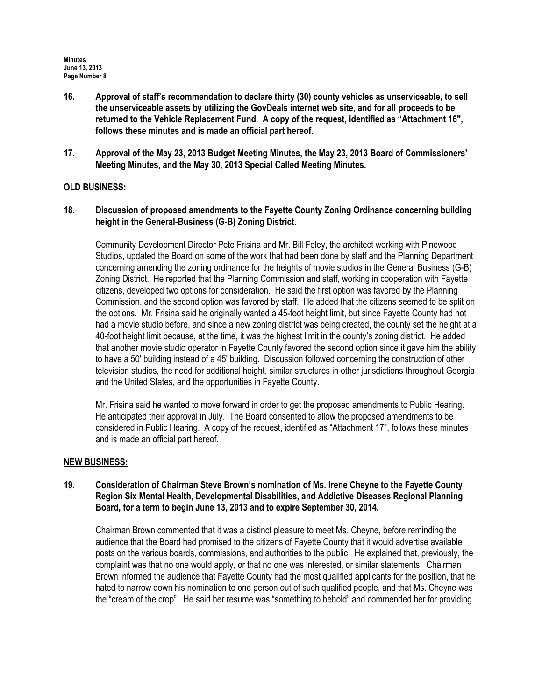- 16. Approval of staff's recommendation to declare thirty (30) county vehicles as unserviceable, to sell the unserviceable assets by utilizing the GovDeals internet web site, and for all proceeds to be returned to the Vehicle Replacement Fund. A copy of the request, identified as "Attachment 16", follows these minutes and is made an official part hereof.
- 17. Approval of the May 23, 2013 Budget Meeting Minutes, the May 23, 2013 Board of Commissioners' Meeting Minutes, and the May 30, 2013 Special Called Meeting Minutes.

#### OLD BUSINESS:

18. Discussion of proposed amendments to the Fayette County Zoning Ordinance concerning building height in the General-Business (G-B) Zoning District.

Community Development Director Pete Frisina and Mr. Bill Foley, the architect working with Pinewood Studios, updated the Board on some of the work that had been done by staff and the Planning Department concerning amending the zoning ordinance for the heights of movie studios in the General Business (G-B) Zoning District. He reported that the Planning Commission and staff, working in cooperation with Fayette citizens, developed two options for consideration. He said the first option was favored by the Planning Commission, and the second option was favored by staff. He added that the citizens seemed to be split on the options. Mr. Frisina said he originally wanted a 45-foot height limit, but since Fayette County had not had a movie studio before, and since a new zoning district was being created, the county set the height at a 40-foot height limit because, at the time, it was the highest limit in the county's zoning district. He added that another movie studio operator in Fayette County favored the second option since it gave him the ability to have a 50' building instead of a 45' building. Discussion followed concerning the construction of other television studios, the need for additional height, similar structures in other jurisdictions throughout Georgia and the United States, and the opportunities in Fayette County.

Mr. Frisina said he wanted to move forward in order to get the proposed amendments to Public Hearing. He anticipated their approval in July. The Board consented to allow the proposed amendments to be considered in Public Hearing. A copy of the request, identified as "Attachment 17", follows these minutes and is made an official part hereof.

#### NEW BUSINESS:

### 19. Consideration of Chairman Steve Brown's nomination of Ms. Irene Cheyne to the Fayette County Region Six Mental Health, Developmental Disabilities, and Addictive Diseases Regional Planning Board, for a term to begin June 13, 2013 and to expire September 30, 2014.

Chairman Brown commented that it was a distinct pleasure to meet Ms. Cheyne, before reminding the audience that the Board had promised to the citizens of Fayette County that it would advertise available posts on the various boards, commissions, and authorities to the public. He explained that, previously, the complaint was that no one would apply, or that no one was interested, or similar statements. Chairman Brown informed the audience that Fayette County had the most qualified applicants for the position, that he hated to narrow down his nomination to one person out of such qualified people, and that Ms. Cheyne was the "cream of the crop". He said her resume was "something to behold" and commended her for providing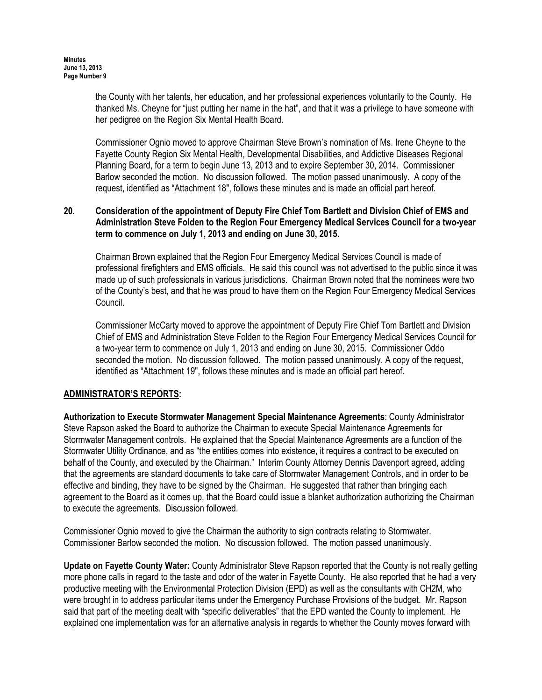the County with her talents, her education, and her professional experiences voluntarily to the County. He thanked Ms. Cheyne for "just putting her name in the hat", and that it was a privilege to have someone with her pedigree on the Region Six Mental Health Board.

Commissioner Ognio moved to approve Chairman Steve Brown's nomination of Ms. Irene Cheyne to the Fayette County Region Six Mental Health, Developmental Disabilities, and Addictive Diseases Regional Planning Board, for a term to begin June 13, 2013 and to expire September 30, 2014. Commissioner Barlow seconded the motion. No discussion followed. The motion passed unanimously. A copy of the request, identified as "Attachment 18", follows these minutes and is made an official part hereof.

#### 20. Consideration of the appointment of Deputy Fire Chief Tom Bartlett and Division Chief of EMS and Administration Steve Folden to the Region Four Emergency Medical Services Council for a two-year term to commence on July 1, 2013 and ending on June 30, 2015.

Chairman Brown explained that the Region Four Emergency Medical Services Council is made of professional firefighters and EMS officials. He said this council was not advertised to the public since it was made up of such professionals in various jurisdictions. Chairman Brown noted that the nominees were two of the County's best, and that he was proud to have them on the Region Four Emergency Medical Services Council.

Commissioner McCarty moved to approve the appointment of Deputy Fire Chief Tom Bartlett and Division Chief of EMS and Administration Steve Folden to the Region Four Emergency Medical Services Council for a two-year term to commence on July 1, 2013 and ending on June 30, 2015. Commissioner Oddo seconded the motion. No discussion followed. The motion passed unanimously. A copy of the request, identified as "Attachment 19", follows these minutes and is made an official part hereof.

# ADMINISTRATOR'S REPORTS:

Authorization to Execute Stormwater Management Special Maintenance Agreements: County Administrator Steve Rapson asked the Board to authorize the Chairman to execute Special Maintenance Agreements for Stormwater Management controls. He explained that the Special Maintenance Agreements are a function of the Stormwater Utility Ordinance, and as "the entities comes into existence, it requires a contract to be executed on behalf of the County, and executed by the Chairman." Interim County Attorney Dennis Davenport agreed, adding that the agreements are standard documents to take care of Stormwater Management Controls, and in order to be effective and binding, they have to be signed by the Chairman. He suggested that rather than bringing each agreement to the Board as it comes up, that the Board could issue a blanket authorization authorizing the Chairman to execute the agreements. Discussion followed.

Commissioner Ognio moved to give the Chairman the authority to sign contracts relating to Stormwater. Commissioner Barlow seconded the motion. No discussion followed. The motion passed unanimously.

Update on Fayette County Water: County Administrator Steve Rapson reported that the County is not really getting more phone calls in regard to the taste and odor of the water in Fayette County. He also reported that he had a very productive meeting with the Environmental Protection Division (EPD) as well as the consultants with CH2M, who were brought in to address particular items under the Emergency Purchase Provisions of the budget. Mr. Rapson said that part of the meeting dealt with "specific deliverables" that the EPD wanted the County to implement. He explained one implementation was for an alternative analysis in regards to whether the County moves forward with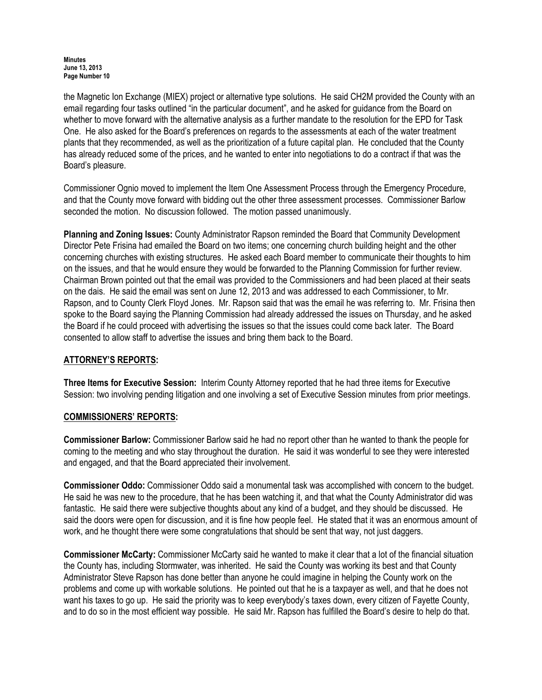the Magnetic Ion Exchange (MIEX) project or alternative type solutions. He said CH2M provided the County with an email regarding four tasks outlined "in the particular document", and he asked for guidance from the Board on whether to move forward with the alternative analysis as a further mandate to the resolution for the EPD for Task One. He also asked for the Board's preferences on regards to the assessments at each of the water treatment plants that they recommended, as well as the prioritization of a future capital plan. He concluded that the County has already reduced some of the prices, and he wanted to enter into negotiations to do a contract if that was the Board's pleasure.

Commissioner Ognio moved to implement the Item One Assessment Process through the Emergency Procedure, and that the County move forward with bidding out the other three assessment processes. Commissioner Barlow seconded the motion. No discussion followed. The motion passed unanimously.

Planning and Zoning Issues: County Administrator Rapson reminded the Board that Community Development Director Pete Frisina had emailed the Board on two items; one concerning church building height and the other concerning churches with existing structures. He asked each Board member to communicate their thoughts to him on the issues, and that he would ensure they would be forwarded to the Planning Commission for further review. Chairman Brown pointed out that the email was provided to the Commissioners and had been placed at their seats on the dais. He said the email was sent on June 12, 2013 and was addressed to each Commissioner, to Mr. Rapson, and to County Clerk Floyd Jones. Mr. Rapson said that was the email he was referring to. Mr. Frisina then spoke to the Board saying the Planning Commission had already addressed the issues on Thursday, and he asked the Board if he could proceed with advertising the issues so that the issues could come back later. The Board consented to allow staff to advertise the issues and bring them back to the Board.

# ATTORNEY'S REPORTS:

Three Items for Executive Session: Interim County Attorney reported that he had three items for Executive Session: two involving pending litigation and one involving a set of Executive Session minutes from prior meetings.

# COMMISSIONERS' REPORTS:

Commissioner Barlow: Commissioner Barlow said he had no report other than he wanted to thank the people for coming to the meeting and who stay throughout the duration. He said it was wonderful to see they were interested and engaged, and that the Board appreciated their involvement.

Commissioner Oddo: Commissioner Oddo said a monumental task was accomplished with concern to the budget. He said he was new to the procedure, that he has been watching it, and that what the County Administrator did was fantastic. He said there were subjective thoughts about any kind of a budget, and they should be discussed. He said the doors were open for discussion, and it is fine how people feel. He stated that it was an enormous amount of work, and he thought there were some congratulations that should be sent that way, not just daggers.

Commissioner McCarty: Commissioner McCarty said he wanted to make it clear that a lot of the financial situation the County has, including Stormwater, was inherited. He said the County was working its best and that County Administrator Steve Rapson has done better than anyone he could imagine in helping the County work on the problems and come up with workable solutions. He pointed out that he is a taxpayer as well, and that he does not want his taxes to go up. He said the priority was to keep everybody's taxes down, every citizen of Fayette County, and to do so in the most efficient way possible. He said Mr. Rapson has fulfilled the Board's desire to help do that.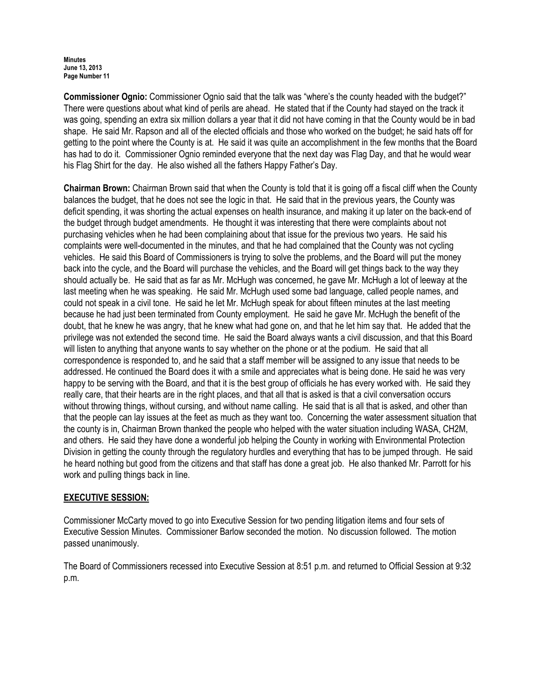Commissioner Ognio: Commissioner Ognio said that the talk was "where's the county headed with the budget?" There were questions about what kind of perils are ahead. He stated that if the County had stayed on the track it was going, spending an extra six million dollars a year that it did not have coming in that the County would be in bad shape. He said Mr. Rapson and all of the elected officials and those who worked on the budget; he said hats off for getting to the point where the County is at. He said it was quite an accomplishment in the few months that the Board has had to do it. Commissioner Ognio reminded everyone that the next day was Flag Day, and that he would wear his Flag Shirt for the day. He also wished all the fathers Happy Father's Day.

Chairman Brown: Chairman Brown said that when the County is told that it is going off a fiscal cliff when the County balances the budget, that he does not see the logic in that. He said that in the previous years, the County was deficit spending, it was shorting the actual expenses on health insurance, and making it up later on the back-end of the budget through budget amendments. He thought it was interesting that there were complaints about not purchasing vehicles when he had been complaining about that issue for the previous two years. He said his complaints were well-documented in the minutes, and that he had complained that the County was not cycling vehicles. He said this Board of Commissioners is trying to solve the problems, and the Board will put the money back into the cycle, and the Board will purchase the vehicles, and the Board will get things back to the way they should actually be. He said that as far as Mr. McHugh was concerned, he gave Mr. McHugh a lot of leeway at the last meeting when he was speaking. He said Mr. McHugh used some bad language, called people names, and could not speak in a civil tone. He said he let Mr. McHugh speak for about fifteen minutes at the last meeting because he had just been terminated from County employment. He said he gave Mr. McHugh the benefit of the doubt, that he knew he was angry, that he knew what had gone on, and that he let him say that. He added that the privilege was not extended the second time. He said the Board always wants a civil discussion, and that this Board will listen to anything that anyone wants to say whether on the phone or at the podium. He said that all correspondence is responded to, and he said that a staff member will be assigned to any issue that needs to be addressed. He continued the Board does it with a smile and appreciates what is being done. He said he was very happy to be serving with the Board, and that it is the best group of officials he has every worked with. He said they really care, that their hearts are in the right places, and that all that is asked is that a civil conversation occurs without throwing things, without cursing, and without name calling. He said that is all that is asked, and other than that the people can lay issues at the feet as much as they want too. Concerning the water assessment situation that the county is in, Chairman Brown thanked the people who helped with the water situation including WASA, CH2M, and others. He said they have done a wonderful job helping the County in working with Environmental Protection Division in getting the county through the regulatory hurdles and everything that has to be jumped through. He said he heard nothing but good from the citizens and that staff has done a great job. He also thanked Mr. Parrott for his work and pulling things back in line.

# EXECUTIVE SESSION:

Commissioner McCarty moved to go into Executive Session for two pending litigation items and four sets of Executive Session Minutes. Commissioner Barlow seconded the motion. No discussion followed. The motion passed unanimously.

The Board of Commissioners recessed into Executive Session at 8:51 p.m. and returned to Official Session at 9:32 p.m.